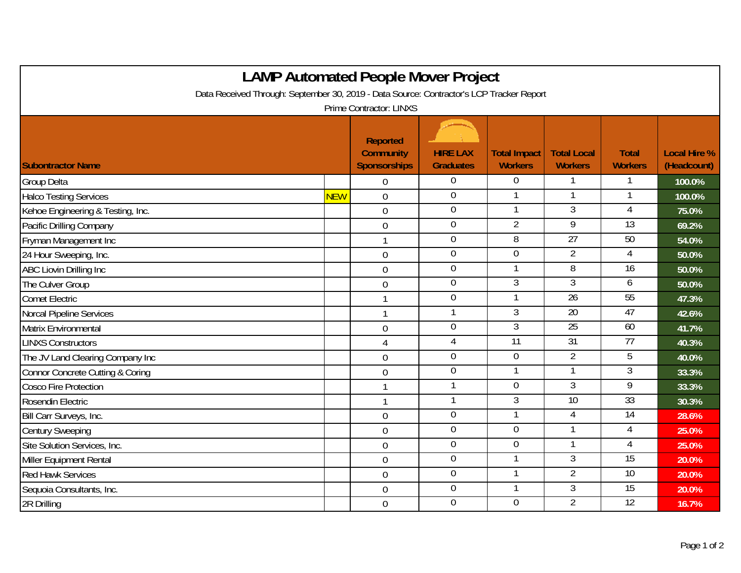| <b>LAMP Automated People Mover Project</b><br>Data Received Through: September 30, 2019 - Data Source: Contractor's LCP Tracker Report |            |                                                            |                                     |                                       |                                      |                                |                                    |  |  |  |  |  |
|----------------------------------------------------------------------------------------------------------------------------------------|------------|------------------------------------------------------------|-------------------------------------|---------------------------------------|--------------------------------------|--------------------------------|------------------------------------|--|--|--|--|--|
| <b>Prime Contractor: LINXS</b>                                                                                                         |            |                                                            |                                     |                                       |                                      |                                |                                    |  |  |  |  |  |
| <b>Subontractor Name</b>                                                                                                               |            | <b>Reported</b><br><b>Community</b><br><b>Sponsorships</b> | <b>HIRE LAX</b><br><b>Graduates</b> | <b>Total Impact</b><br><b>Workers</b> | <b>Total Local</b><br><b>Workers</b> | <b>Total</b><br><b>Workers</b> | <b>Local Hire %</b><br>(Headcount) |  |  |  |  |  |
| <b>Group Delta</b>                                                                                                                     |            | $\Omega$                                                   | $\overline{0}$                      | $\Omega$                              |                                      |                                | 100.0%                             |  |  |  |  |  |
| <b>Halco Testing Services</b>                                                                                                          | <b>NEW</b> | $\mathbf 0$                                                | $\mathbf 0$                         |                                       | 1                                    |                                | 100.0%                             |  |  |  |  |  |
| Kehoe Engineering & Testing, Inc.                                                                                                      |            | $\overline{0}$                                             | $\boldsymbol{0}$                    |                                       | 3                                    | 4                              | 75.0%                              |  |  |  |  |  |
| Pacific Drilling Company                                                                                                               |            | $\overline{0}$                                             | $\overline{0}$                      | $\overline{2}$                        | $\overline{9}$                       | $\overline{13}$                | 69.2%                              |  |  |  |  |  |
| Fryman Management Inc                                                                                                                  |            |                                                            | $\mathbf 0$                         | $\overline{8}$                        | 27                                   | 50                             | 54.0%                              |  |  |  |  |  |
| 24 Hour Sweeping, Inc.                                                                                                                 |            | $\mathbf 0$                                                | $\overline{0}$                      | $\overline{0}$                        | $\overline{2}$                       | 4                              | 50.0%                              |  |  |  |  |  |
| ABC Liovin Drilling Inc                                                                                                                |            | $\mathbf 0$                                                | $\overline{0}$                      |                                       | 8                                    | 16                             | 50.0%                              |  |  |  |  |  |
| The Culver Group                                                                                                                       |            | $\boldsymbol{0}$                                           | $\boldsymbol{0}$                    | $\overline{3}$                        | $\overline{3}$                       | 6                              | 50.0%                              |  |  |  |  |  |
| <b>Comet Electric</b>                                                                                                                  |            | $\mathbf{1}$                                               | $\mathbf 0$                         | $\mathbf 1$                           | 26                                   | 55                             | 47.3%                              |  |  |  |  |  |
| <b>Norcal Pipeline Services</b>                                                                                                        |            | 1                                                          | $\mathbf{1}$                        | 3                                     | $\overline{20}$                      | $\overline{47}$                | 42.6%                              |  |  |  |  |  |
| Matrix Environmental                                                                                                                   |            | $\mathbf 0$                                                | $\mathbf 0$                         | $\overline{3}$                        | 25                                   | 60                             | 41.7%                              |  |  |  |  |  |
| <b>LINXS Constructors</b>                                                                                                              |            | 4                                                          | $\overline{4}$                      | $\overline{11}$                       | 31                                   | 77                             | 40.3%                              |  |  |  |  |  |
| The JV Land Clearing Company Inc                                                                                                       |            | $\overline{0}$                                             | $\mathbf 0$                         | $\mathbf 0$                           | $\overline{2}$                       | 5                              | 40.0%                              |  |  |  |  |  |
| Connor Concrete Cutting & Coring                                                                                                       |            | $\overline{0}$                                             | $\mathbf 0$                         |                                       |                                      | 3                              | 33.3%                              |  |  |  |  |  |
| <b>Cosco Fire Protection</b>                                                                                                           |            | $\mathbf{1}$                                               | 1                                   | $\mathbf 0$                           | 3                                    | $\overline{9}$                 | 33.3%                              |  |  |  |  |  |
| Rosendin Electric                                                                                                                      |            | $\mathbf{1}$                                               | 1                                   | $\overline{3}$                        | 10                                   | 33                             | 30.3%                              |  |  |  |  |  |
| Bill Carr Surveys, Inc.                                                                                                                |            | $\mathbf 0$                                                | $\mathbf 0$                         | 1                                     | 4                                    | $\overline{14}$                | 28.6%                              |  |  |  |  |  |
| <b>Century Sweeping</b>                                                                                                                |            | $\overline{0}$                                             | $\overline{0}$                      | $\overline{0}$                        |                                      | 4                              | 25.0%                              |  |  |  |  |  |
| Site Solution Services, Inc.                                                                                                           |            | $\mathbf 0$                                                | $\mathbf 0$                         | $\overline{0}$                        |                                      | 4                              | 25.0%                              |  |  |  |  |  |
| Miller Equipment Rental                                                                                                                |            | $\overline{0}$                                             | $\mathbf 0$                         |                                       | $\overline{3}$                       | $\overline{15}$                | 20.0%                              |  |  |  |  |  |
| <b>Red Hawk Services</b>                                                                                                               |            | $\overline{0}$                                             | $\overline{0}$                      |                                       | $\overline{2}$                       | 10                             | 20.0%                              |  |  |  |  |  |
| Sequoia Consultants, Inc.                                                                                                              |            | $\mathbf 0$                                                | $\mathbf 0$                         |                                       | $\overline{3}$                       | $\overline{15}$                | 20.0%                              |  |  |  |  |  |
| 2R Drilling                                                                                                                            |            | $\overline{0}$                                             | $\mathbf 0$                         | $\overline{0}$                        | $\overline{2}$                       | 12                             | 16.7%                              |  |  |  |  |  |